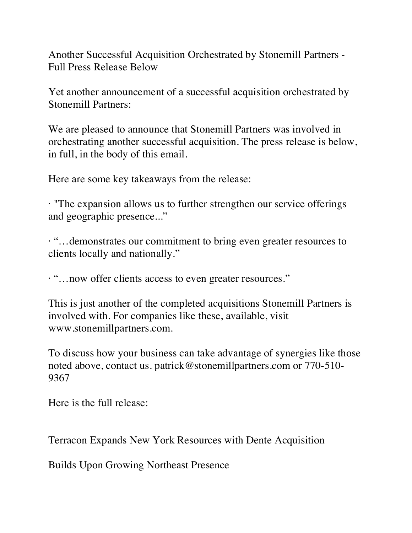Another Successful Acquisition Orchestrated by Stonemill Partners - Full Press Release Below

Yet another announcement of a successful acquisition orchestrated by Stonemill Partners:

We are pleased to announce that Stonemill Partners was involved in orchestrating another successful acquisition. The press release is below, in full, in the body of this email.

Here are some key takeaways from the release:

· "The expansion allows us to further strengthen our service offerings and geographic presence..."

· "…demonstrates our commitment to bring even greater resources to clients locally and nationally."

· "…now offer clients access to even greater resources."

This is just another of the completed acquisitions Stonemill Partners is involved with. For companies like these, available, visit www.stonemillpartners.com.

To discuss how your business can take advantage of synergies like those noted above, contact us. patrick@stonemillpartners.com or 770-510- 9367

Here is the full release:

Terracon Expands New York Resources with Dente Acquisition

Builds Upon Growing Northeast Presence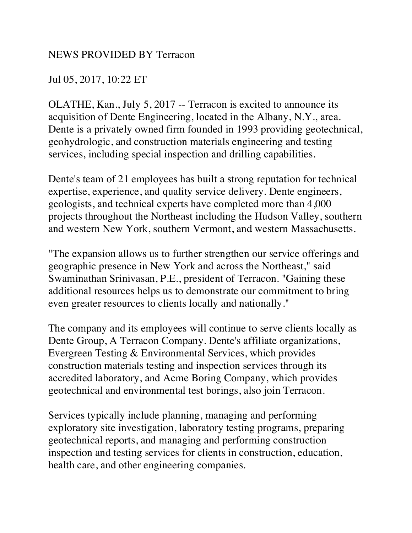## NEWS PROVIDED BY Terracon

## Jul 05, 2017, 10:22 ET

OLATHE, Kan., July 5, 2017 -- Terracon is excited to announce its acquisition of Dente Engineering, located in the Albany, N.Y., area. Dente is a privately owned firm founded in 1993 providing geotechnical, geohydrologic, and construction materials engineering and testing services, including special inspection and drilling capabilities.

Dente's team of 21 employees has built a strong reputation for technical expertise, experience, and quality service delivery. Dente engineers, geologists, and technical experts have completed more than 4,000 projects throughout the Northeast including the Hudson Valley, southern and western New York, southern Vermont, and western Massachusetts.

"The expansion allows us to further strengthen our service offerings and geographic presence in New York and across the Northeast," said Swaminathan Srinivasan, P.E., president of Terracon. "Gaining these additional resources helps us to demonstrate our commitment to bring even greater resources to clients locally and nationally."

The company and its employees will continue to serve clients locally as Dente Group, A Terracon Company. Dente's affiliate organizations, Evergreen Testing & Environmental Services, which provides construction materials testing and inspection services through its accredited laboratory, and Acme Boring Company, which provides geotechnical and environmental test borings, also join Terracon.

Services typically include planning, managing and performing exploratory site investigation, laboratory testing programs, preparing geotechnical reports, and managing and performing construction inspection and testing services for clients in construction, education, health care, and other engineering companies.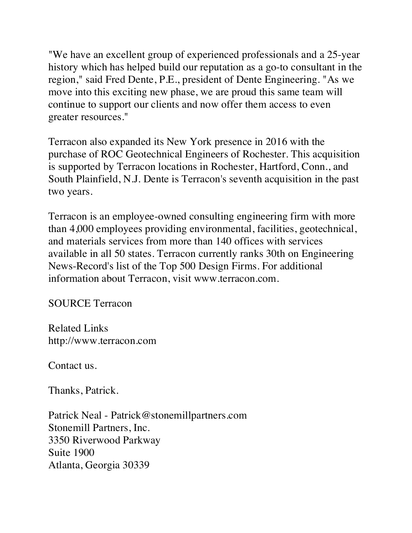"We have an excellent group of experienced professionals and a 25-year history which has helped build our reputation as a go-to consultant in the region," said Fred Dente, P.E., president of Dente Engineering. "As we move into this exciting new phase, we are proud this same team will continue to support our clients and now offer them access to even greater resources."

Terracon also expanded its New York presence in 2016 with the purchase of ROC Geotechnical Engineers of Rochester. This acquisition is supported by Terracon locations in Rochester, Hartford, Conn., and South Plainfield, N.J. Dente is Terracon's seventh acquisition in the past two years.

Terracon is an employee-owned consulting engineering firm with more than 4,000 employees providing environmental, facilities, geotechnical, and materials services from more than 140 offices with services available in all 50 states. Terracon currently ranks 30th on Engineering News-Record's list of the Top 500 Design Firms. For additional information about Terracon, visit www.terracon.com.

SOURCE Terracon

Related Links http://www.terracon.com

Contact us.

Thanks, Patrick.

Patrick Neal - Patrick@stonemillpartners.com Stonemill Partners, Inc. 3350 Riverwood Parkway Suite 1900 Atlanta, Georgia 30339